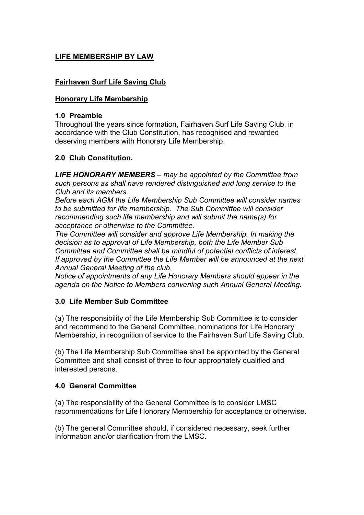# **LIFE MEMBERSHIP BY LAW**

## **Fairhaven Surf Life Saving Club**

## **Honorary Life Membership**

#### **1.0 Preamble**

Throughout the years since formation, Fairhaven Surf Life Saving Club, in accordance with the Club Constitution, has recognised and rewarded deserving members with Honorary Life Membership.

## **2.0 Club Constitution.**

*LIFE HONORARY MEMBERS – may be appointed by the Committee from such persons as shall have rendered distinguished and long service to the Club and its members.* 

*Before each AGM the Life Membership Sub Committee will consider names to be submitted for life membership. The Sub Committee will consider recommending such life membership and will submit the name(s) for acceptance or otherwise to the Committee.* 

*The Committee will consider and approve Life Membership. In making the decision as to approval of Life Membership, both the Life Member Sub Committee and Committee shall be mindful of potential conflicts of interest. If approved by the Committee the Life Member will be announced at the next Annual General Meeting of the club.* 

*Notice of appointments of any Life Honorary Members should appear in the agenda on the Notice to Members convening such Annual General Meeting.* 

### **3.0 Life Member Sub Committee**

(a) The responsibility of the Life Membership Sub Committee is to consider and recommend to the General Committee, nominations for Life Honorary Membership, in recognition of service to the Fairhaven Surf Life Saving Club.

(b) The Life Membership Sub Committee shall be appointed by the General Committee and shall consist of three to four appropriately qualified and interested persons.

### **4.0 General Committee**

(a) The responsibility of the General Committee is to consider LMSC recommendations for Life Honorary Membership for acceptance or otherwise.

(b) The general Committee should, if considered necessary, seek further Information and/or clarification from the LMSC.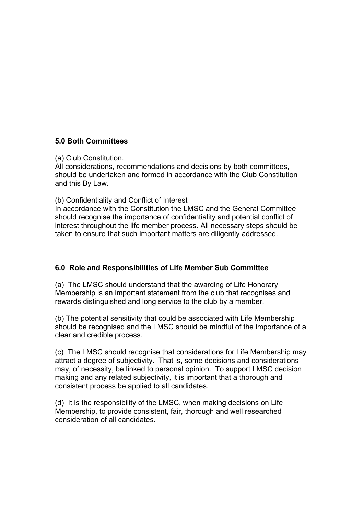## **5.0 Both Committees**

(a) Club Constitution.

All considerations, recommendations and decisions by both committees, should be undertaken and formed in accordance with the Club Constitution and this By Law.

(b) Confidentiality and Conflict of Interest

In accordance with the Constitution the LMSC and the General Committee should recognise the importance of confidentiality and potential conflict of interest throughout the life member process. All necessary steps should be taken to ensure that such important matters are diligently addressed.

### **6.0 Role and Responsibilities of Life Member Sub Committee**

(a) The LMSC should understand that the awarding of Life Honorary Membership is an important statement from the club that recognises and rewards distinguished and long service to the club by a member.

(b) The potential sensitivity that could be associated with Life Membership should be recognised and the LMSC should be mindful of the importance of a clear and credible process.

(c) The LMSC should recognise that considerations for Life Membership may attract a degree of subjectivity. That is, some decisions and considerations may, of necessity, be linked to personal opinion. To support LMSC decision making and any related subjectivity, it is important that a thorough and consistent process be applied to all candidates.

(d) It is the responsibility of the LMSC, when making decisions on Life Membership, to provide consistent, fair, thorough and well researched consideration of all candidates.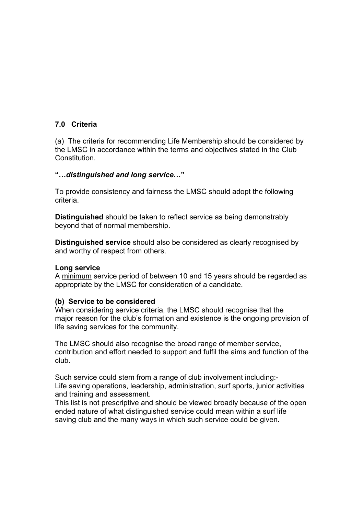## **7.0 Criteria**

(a) The criteria for recommending Life Membership should be considered by the LMSC in accordance within the terms and objectives stated in the Club Constitution.

#### **"…***distinguished and long service***…"**

To provide consistency and fairness the LMSC should adopt the following criteria.

**Distinguished** should be taken to reflect service as being demonstrably beyond that of normal membership.

**Distinguished service** should also be considered as clearly recognised by and worthy of respect from others.

#### **Long service**

A minimum service period of between 10 and 15 years should be regarded as appropriate by the LMSC for consideration of a candidate.

#### **(b) Service to be considered**

When considering service criteria, the LMSC should recognise that the major reason for the club's formation and existence is the ongoing provision of life saving services for the community.

The LMSC should also recognise the broad range of member service, contribution and effort needed to support and fulfil the aims and function of the club.

Such service could stem from a range of club involvement including:- Life saving operations, leadership, administration, surf sports, junior activities and training and assessment.

This list is not prescriptive and should be viewed broadly because of the open ended nature of what distinguished service could mean within a surf life saving club and the many ways in which such service could be given.